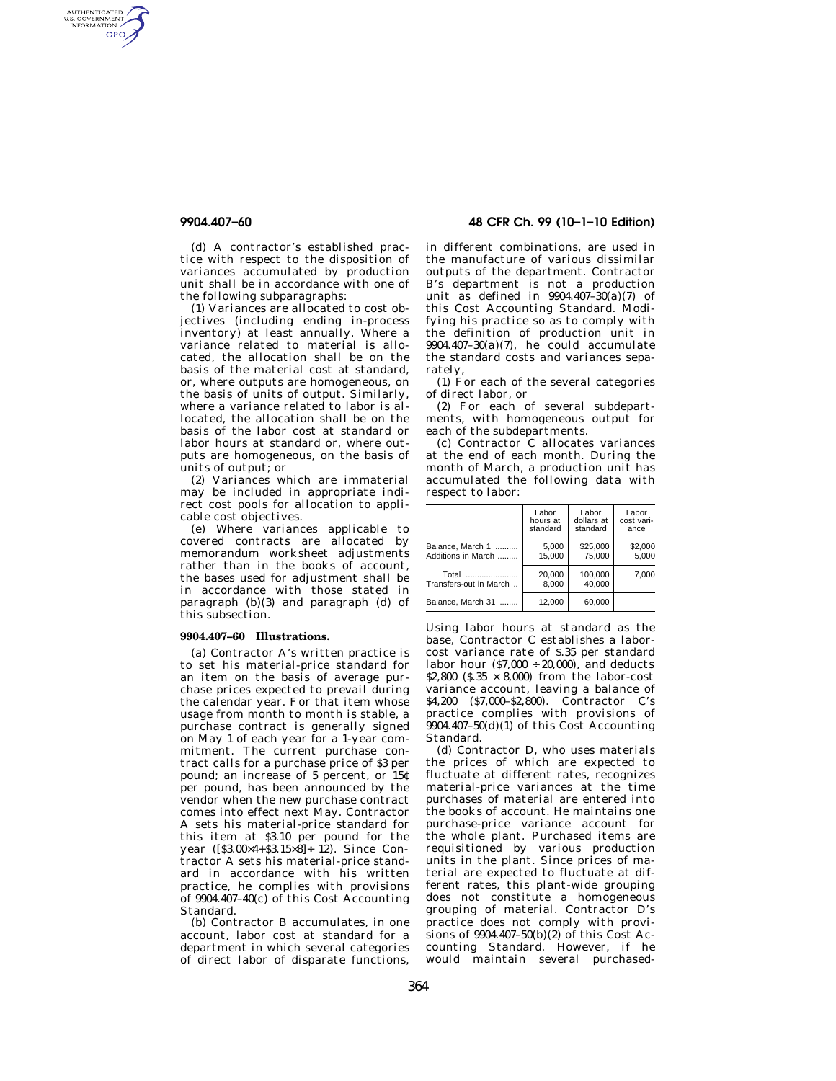AUTHENTICATED<br>U.S. GOVERNMENT<br>INFORMATION GPO

> (d) A contractor's established practice with respect to the disposition of variances accumulated by production unit shall be in accordance with one of the following subparagraphs:

> (1) Variances are allocated to cost objectives (including ending in-process inventory) at least annually. Where a variance related to material is allocated, the allocation shall be on the basis of the material cost at standard, or, where outputs are homogeneous, on the basis of units of output. Similarly, where a variance related to labor is allocated, the allocation shall be on the basis of the labor cost at standard or labor hours at standard or, where outputs are homogeneous, on the basis of units of output; or

> (2) Variances which are immaterial may be included in appropriate indirect cost pools for allocation to applicable cost objectives.

> (e) Where variances applicable to covered contracts are allocated by memorandum worksheet adjustments rather than in the books of account, the bases used for adjustment shall be in accordance with those stated in paragraph (b)(3) and paragraph (d) of this subsection.

### **9904.407–60 Illustrations.**

(a) Contractor A's written practice is to set his material-price standard for an item on the basis of average purchase prices expected to prevail during the calendar year. For that item whose usage from month to month is stable, a purchase contract is generally signed on May 1 of each year for a 1-year commitment. The current purchase contract calls for a purchase price of \$3 per pound; an increase of 5 percent, or 15¢ per pound, has been announced by the vendor when the new purchase contract comes into effect next May. Contractor A sets his material-price standard for this item at \$3.10 per pound for the year ([\$3.00×4+\$3.15×8]÷ 12). Since Contractor A sets his material-price standard in accordance with his written practice, he complies with provisions of 9904.407–40(c) of this Cost Accounting Standard.

(b) Contractor B accumulates, in one account, labor cost at standard for a department in which several categories of direct labor of disparate functions,

**9904.407–60 48 CFR Ch. 99 (10–1–10 Edition)** 

in different combinations, are used in the manufacture of various dissimilar outputs of the department. Contractor B's department is not a production unit as defined in 9904.407–30(a)(7) of this Cost Accounting Standard. Modifying his practice so as to comply with the definition of production unit in  $9904.407-30(a)(7)$ , he could accumulate the standard costs and variances separately,

(1) For each of the several categories of direct labor, or

(2) For each of several subdepartments, with homogeneous output for each of the subdepartments.

(c) Contractor C allocates variances at the end of each month. During the month of March, a production unit has accumulated the following data with respect to labor:

|                        | Labor    | Labor      | Labor      |
|------------------------|----------|------------|------------|
|                        | hours at | dollars at | cost vari- |
|                        | standard | standard   | ance       |
| Balance. March 1       | 5.000    | \$25,000   | \$2,000    |
| Additions in March     | 15.000   | 75.000     | 5.000      |
| Total                  | 20.000   | 100.000    | 7.000      |
| Transfers-out in March | 8.000    | 40.000     |            |
| Balance, March 31<br>. | 12.000   | 60.000     |            |

Using labor hours at standard as the base, Contractor C establishes a laborcost variance rate of \$.35 per standard labor hour  $(87,000 \div 20,000)$ , and deducts \$2,800 ( $$.35 \times 8,000$ ) from the labor-cost variance account, leaving a balance of \$4,200 (\$7,000–\$2,800). Contractor C's practice complies with provisions of 9904.407–50(d)(1) of this Cost Accounting Standard.

(d) Contractor D, who uses materials the prices of which are expected to fluctuate at different rates, recognizes material-price variances at the time purchases of material are entered into the books of account. He maintains one purchase-price variance account for the whole plant. Purchased items are requisitioned by various production units in the plant. Since prices of material are expected to fluctuate at different rates, this plant-wide grouping does not constitute a homogeneous grouping of material. Contractor D's practice does not comply with provisions of 9904.407–50(b)(2) of this Cost Accounting Standard. However, if he would maintain several purchased-